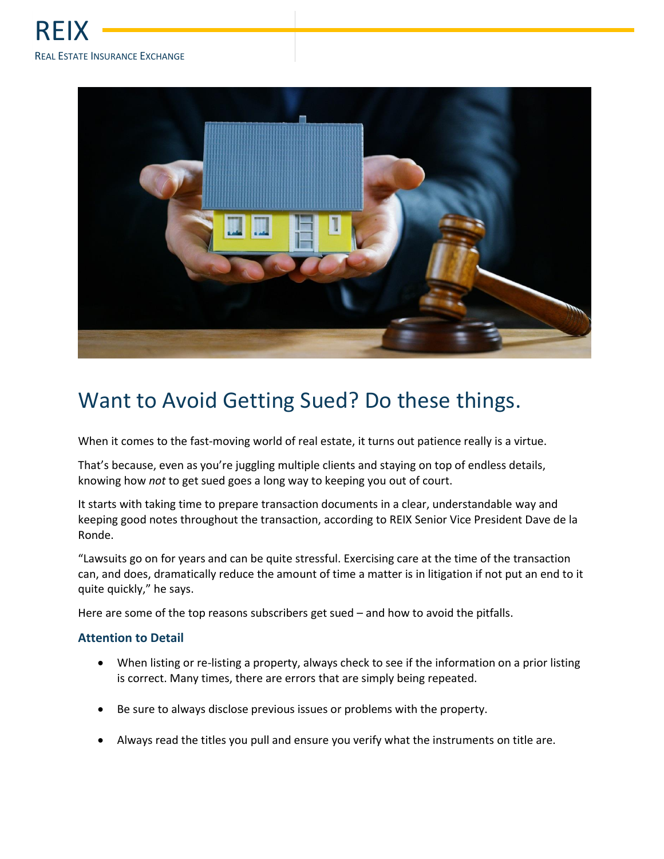

## Want to Avoid Getting Sued? Do these things.

When it comes to the fast-moving world of real estate, it turns out patience really is a virtue.

That's because, even as you're juggling multiple clients and staying on top of endless details, knowing how *not* to get sued goes a long way to keeping you out of court.

It starts with taking time to prepare transaction documents in a clear, understandable way and keeping good notes throughout the transaction, according to REIX Senior Vice President Dave de la Ronde.

"Lawsuits go on for years and can be quite stressful. Exercising care at the time of the transaction can, and does, dramatically reduce the amount of time a matter is in litigation if not put an end to it quite quickly," he says.

Here are some of the top reasons subscribers get sued – and how to avoid the pitfalls.

## **Attention to Detail**

- When listing or re-listing a property, always check to see if the information on a prior listing is correct. Many times, there are errors that are simply being repeated.
- Be sure to always disclose previous issues or problems with the property.
- Always read the titles you pull and ensure you verify what the instruments on title are.